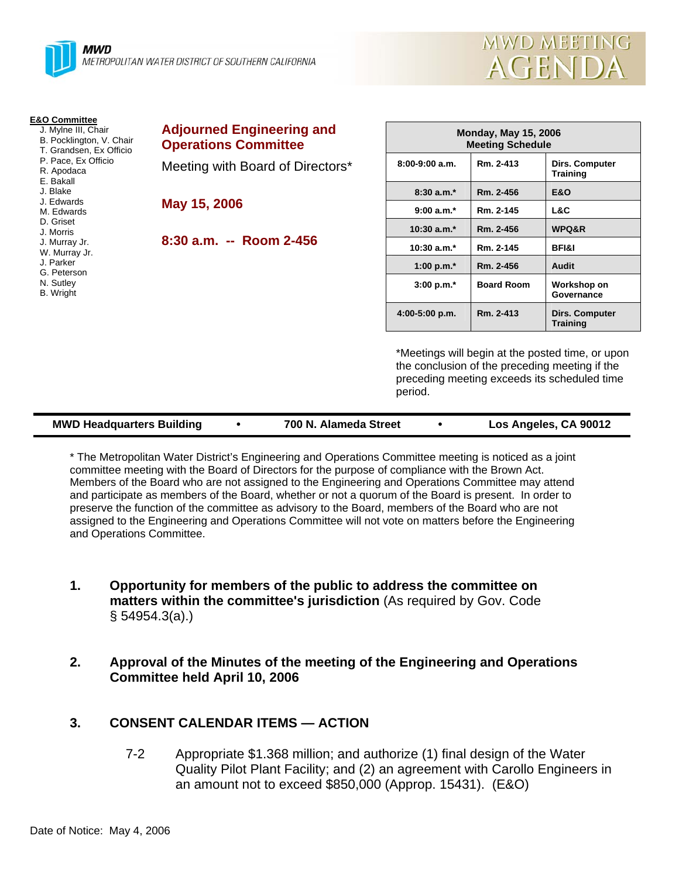

|        | MWD MEETING |  |
|--------|-------------|--|
| AGENDA |             |  |

| <b>E&amp;O Committee</b><br>J. Mylne III, Chair<br>B. Pocklington, V. Chair<br>T. Grandsen, Ex Officio | <b>Adjourned Engineering and</b><br><b>Operations Committee</b> |                           | <b>Monday, May 15, 2006</b><br><b>Meeting Schedule</b> |                                                                                                                                                    |
|--------------------------------------------------------------------------------------------------------|-----------------------------------------------------------------|---------------------------|--------------------------------------------------------|----------------------------------------------------------------------------------------------------------------------------------------------------|
| P. Pace, Ex Officio<br>R. Apodaca<br>E. Bakall                                                         | Meeting with Board of Directors*                                | $8:00-9:00$ a.m.          | Rm. 2-413                                              | Dirs. Computer<br><b>Training</b>                                                                                                                  |
| J. Blake                                                                                               |                                                                 | $8:30 a.m.*$              | Rm. 2-456                                              | <b>E&amp;O</b>                                                                                                                                     |
| J. Edwards<br>M. Edwards                                                                               | May 15, 2006                                                    | $9:00 a.m.*$              | Rm. 2-145                                              | L&C                                                                                                                                                |
| D. Griset<br>J. Morris                                                                                 |                                                                 | $10:30$ a.m. $*$          | Rm. 2-456                                              | WPQ&R                                                                                                                                              |
| J. Murray Jr.<br>W. Murray Jr.                                                                         | $8:30$ a.m. $-$ Room 2-456                                      | $10:30$ a.m. <sup>*</sup> | Rm. 2-145                                              | <b>BFI&amp;I</b>                                                                                                                                   |
| J. Parker<br>G. Peterson                                                                               |                                                                 | 1:00 p.m. $*$             | Rm. 2-456                                              | Audit                                                                                                                                              |
| N. Sutley<br>B. Wright                                                                                 |                                                                 | $3:00 p.m.*$              | <b>Board Room</b>                                      | Workshop on<br>Governance                                                                                                                          |
|                                                                                                        |                                                                 | 4:00-5:00 p.m.            | Rm. 2-413                                              | Dirs. Computer<br><b>Training</b>                                                                                                                  |
|                                                                                                        |                                                                 | period.                   |                                                        | *Meetings will begin at the posted time, or upon<br>the conclusion of the preceding meeting if the<br>preceding meeting exceeds its scheduled time |

| <b>MWD Headquarters Building</b><br>700 N. Alameda Street | Los Angeles, CA 90012 |
|-----------------------------------------------------------|-----------------------|
|-----------------------------------------------------------|-----------------------|

\* The Metropolitan Water District's Engineering and Operations Committee meeting is noticed as a joint committee meeting with the Board of Directors for the purpose of compliance with the Brown Act. Members of the Board who are not assigned to the Engineering and Operations Committee may attend and participate as members of the Board, whether or not a quorum of the Board is present. In order to preserve the function of the committee as advisory to the Board, members of the Board who are not assigned to the Engineering and Operations Committee will not vote on matters before the Engineering and Operations Committee.

- **1. Opportunity for members of the public to address the committee on matters within the committee's jurisdiction** (As required by Gov. Code § 54954.3(a).)
- **2. Approval of the Minutes of the meeting of the Engineering and Operations Committee held April 10, 2006**

# **3. CONSENT CALENDAR ITEMS — ACTION**

7-2 Appropriate \$1.368 million; and authorize (1) final design of the Water Quality Pilot Plant Facility; and (2) an agreement with Carollo Engineers in an amount not to exceed \$850,000 (Approp. 15431). (E&O)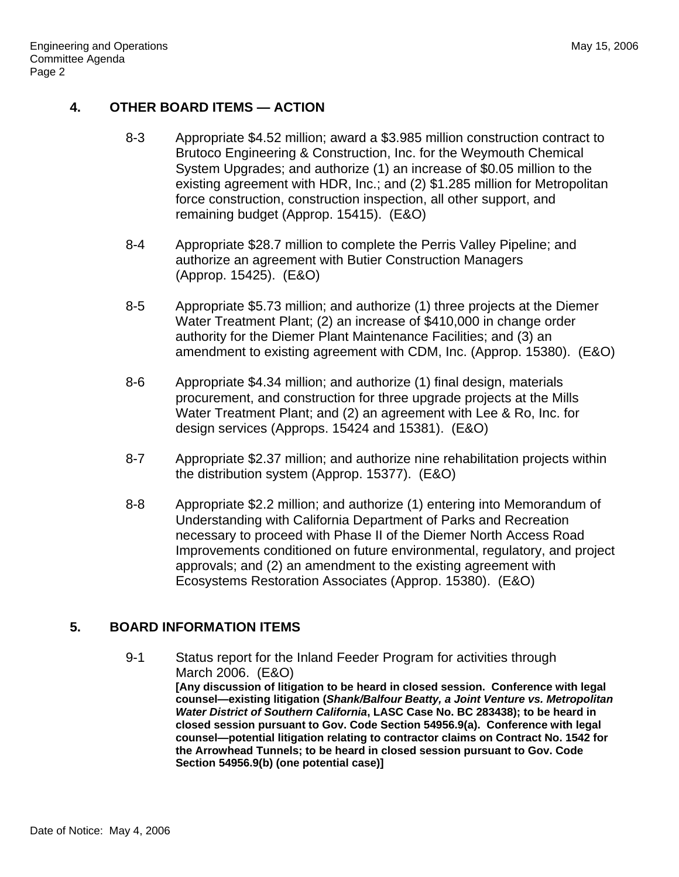## **4. OTHER BOARD ITEMS — ACTION**

- 8-3 Appropriate \$4.52 million; award a \$3.985 million construction contract to Brutoco Engineering & Construction, Inc. for the Weymouth Chemical System Upgrades; and authorize (1) an increase of \$0.05 million to the existing agreement with HDR, Inc.; and (2) \$1.285 million for Metropolitan force construction, construction inspection, all other support, and remaining budget (Approp. 15415). (E&O)
- 8-4 Appropriate \$28.7 million to complete the Perris Valley Pipeline; and authorize an agreement with Butier Construction Managers (Approp. 15425). (E&O)
- 8-5 Appropriate \$5.73 million; and authorize (1) three projects at the Diemer Water Treatment Plant; (2) an increase of \$410,000 in change order authority for the Diemer Plant Maintenance Facilities; and (3) an amendment to existing agreement with CDM, Inc. (Approp. 15380). (E&O)
- 8-6 Appropriate \$4.34 million; and authorize (1) final design, materials procurement, and construction for three upgrade projects at the Mills Water Treatment Plant; and (2) an agreement with Lee & Ro, Inc. for design services (Approps. 15424 and 15381). (E&O)
- 8-7 Appropriate \$2.37 million; and authorize nine rehabilitation projects within the distribution system (Approp. 15377). (E&O)
- 8-8 Appropriate \$2.2 million; and authorize (1) entering into Memorandum of Understanding with California Department of Parks and Recreation necessary to proceed with Phase II of the Diemer North Access Road Improvements conditioned on future environmental, regulatory, and project approvals; and (2) an amendment to the existing agreement with Ecosystems Restoration Associates (Approp. 15380). (E&O)

# **5. BOARD INFORMATION ITEMS**

9-1 Status report for the Inland Feeder Program for activities through March 2006. (E&O) **[Any discussion of litigation to be heard in closed session. Conference with legal counsel—existing litigation (***Shank/Balfour Beatty, a Joint Venture vs. Metropolitan Water District of Southern California***, LASC Case No. BC 283438); to be heard in closed session pursuant to Gov. Code Section 54956.9(a). Conference with legal counsel—potential litigation relating to contractor claims on Contract No. 1542 for the Arrowhead Tunnels; to be heard in closed session pursuant to Gov. Code Section 54956.9(b) (one potential case)]**